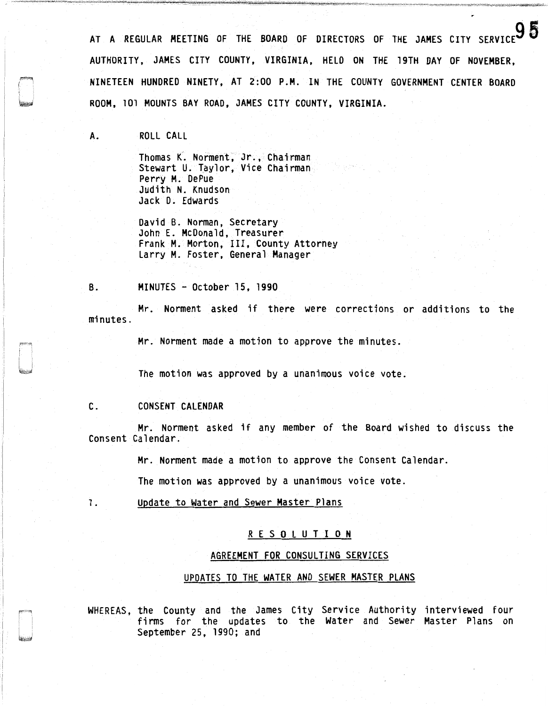AT A REGULAR MEETING OF THE BOARD OF DIRECTORS OF THE JAMES CITY SERVICE AUTHORITY, JAMES CITY COUNTY, VIRGINIA, HELD ON THE 19TH DAY OF NOVEMBER, NINETEEN HUNDRED NINETY, AT 2:00 P.M. IN THE COUNTY GOVERNMENT CENTER BOARD ROOM, 101 MOUNTS BAY ROAD, JAMES CITY COUNTY, VIRGINIA.

A. ROLL CALL

Thomas K. Norment, Jr., Chairman Stewart U. Taylor, Vice Chairman Perry M. DePue Judith N. Knudson Jack D. Edwards

David B. Norman, Secretary Frank M. Morton, III, County Attorney Larry M. Foster, General Manager

B. MINUTES - October 15, 1990

Mr. Norment asked if there were corrections or additions to the minutes.

Mr. Norment made a motion to approve the minutes.

The motion was approved by a unanimous voice vote.

C. CONSENT CALENDAR

Mr. Norment asked if any member of the Board wished to discuss the Consent Calendar.

Mr. Norment made a motion to approve the Consent Calendar.

The motion was approved by a unanimous voice vote.

1. Update to Water and Sewer Master Plans

## R E S 0 L U T I 0 N

## AGREEMENT FOR CONSULTING SERVICES

## UPDATES TO THE WATER AND SEWER MASTER PLANS

WHEREAS, the County and the James City Service Authority interviewed four firms for the updates to the Water and Sewer Master Plans on September 25, 1990; and